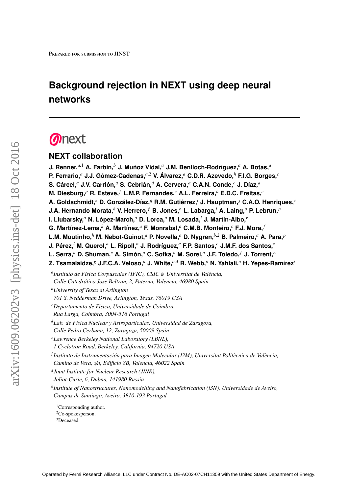## **Background rejection in NEXT using deep neural networks**

# **Onext**

## **NEXT collaboration**

**J. Renner,***a*,<sup>1</sup> **A. Farbin,***<sup>b</sup>* **J. Muñoz Vidal,***<sup>a</sup>* **J.M. Benlloch-Rodríguez,***<sup>a</sup>* **A. Botas,***<sup>a</sup>*

**P. Ferrario,***<sup>a</sup>* **J.J. Gómez-Cadenas,***a*,<sup>2</sup> **V. Álvarez,***<sup>a</sup>* **C.D.R. Azevedo,***<sup>h</sup>* **F.I.G. Borges,***<sup>c</sup>*

**S. Cárcel,***<sup>a</sup>* **J.V. Carrión,***<sup>a</sup>* **S. Cebrián,***<sup>d</sup>* **A. Cervera,***<sup>a</sup>* **C.A.N. Conde,***<sup>c</sup>* **J. Díaz,***<sup>a</sup>*

**M. Diesburg,***<sup>p</sup>* **R. Esteve,***<sup>f</sup>* **L.M.P. Fernandes,***<sup>c</sup>* **A.L. Ferreira,***<sup>h</sup>* **E.D.C. Freitas,***<sup>c</sup>*

**A. Goldschmidt,***<sup>e</sup>* **D. González-Díaz,***<sup>q</sup>* **R.M. Gutiérrez,***<sup>i</sup>* **J. Hauptman,***<sup>j</sup>* **C.A.O. Henriques,***<sup>c</sup>*

**J.A. Hernando Morata,***<sup>k</sup>* **V. Herrero,***<sup>f</sup>* **B. Jones,***<sup>b</sup>* **L. Labarga,***<sup>l</sup>* **A. Laing,***<sup>a</sup>* **P. Lebrun,***<sup>p</sup>*

**I. Liubarsky,***<sup>a</sup>* **N. López-March,***<sup>a</sup>* **D. Lorca,***<sup>a</sup>* **M. Losada,***<sup>i</sup>* **J. Martín-Albo,***<sup>r</sup>*

**G. Martínez-Lema,***<sup>k</sup>* **A. Martínez,***<sup>a</sup>* **F. Monrabal,***<sup>a</sup>* **C.M.B. Monteiro,***<sup>c</sup>* **F.J. Mora,***<sup>f</sup>*

**L.M. Moutinho,***<sup>h</sup>* **M. Nebot-Guinot,***<sup>a</sup>* **P. Novella,***<sup>a</sup>* **D. Nygren,***b*,<sup>2</sup> **B. Palmeiro,***<sup>a</sup>* **A. Para,***<sup>p</sup>*

**J. Pérez,***<sup>l</sup>* **M. Querol,***<sup>a</sup>* **L. Ripoll,***<sup>n</sup>* **J. Rodríguez,***<sup>a</sup>* **F.P. Santos,***<sup>c</sup>* **J.M.F. dos Santos,***<sup>c</sup>*

**L. Serra,***<sup>a</sup>* **D. Shuman,***<sup>e</sup>* **A. Simón,***<sup>a</sup>* **C. Sofka,***<sup>o</sup>* **M. Sorel,***<sup>a</sup>* **J.F. Toledo,***<sup>f</sup>* **J. Torrent,***<sup>n</sup>*

**Z. Tsamalaidze,***<sup>g</sup>* **J.F.C.A. Veloso,***<sup>h</sup>* **J. White,***o*,<sup>3</sup> **R. Webb,***<sup>o</sup>* **N. Yahlali,***<sup>a</sup>* **H. Yepes-Ramírez***<sup>i</sup>*

*a Instituto de Física Corpuscular (IFIC), CSIC* & *Universitat de València, Calle Catedrático José Beltrán, 2, Paterna, Valencia, 46980 Spain*

*<sup>b</sup>University of Texas at Arlington*

*701 S. Nedderman Drive, Arlington, Texas, 76019 USA*

*<sup>c</sup>Departamento de Fisica, Universidade de Coimbra,*

*Rua Larga, Coimbra, 3004-516 Portugal*

*<sup>d</sup>Lab. de Física Nuclear y Astropartículas, Universidad de Zaragoza,*

*Calle Pedro Cerbuna, 12, Zaragoza, 50009 Spain*

*<sup>e</sup>Lawrence Berkeley National Laboratory (LBNL),*

*1 Cyclotron Road, Berkeley, California, 94720 USA*

*f Instituto de Instrumentación para Imagen Molecular (I3M), Universitat Politècnica de València, Camino de Vera, s*/*n, Edificio 8B, Valencia, 46022 Spain*

*g Joint Institute for Nuclear Research (JINR),*

*Joliot-Curie, 6, Dubna, 141980 Russia*

*h Institute of Nanostructures, Nanomodelling and Nanofabrication (i3N), Universidade de Aveiro, Campus de Santiago, Aveiro, 3810-193 Portugal*

<sup>&</sup>lt;sup>1</sup>Corresponding author.

<sup>2</sup>Co-spokesperson.

<sup>3</sup>Deceased.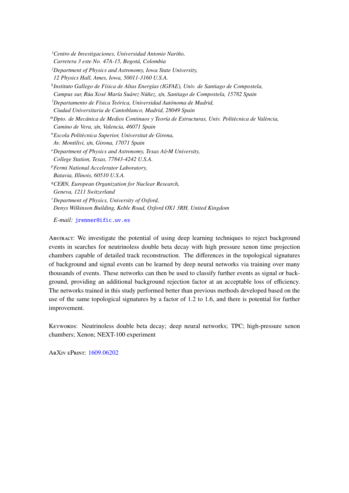*<sup>i</sup>Centro de Investigaciones, Universidad Antonio Nariño, Carretera 3 este No. 47A-15, Bogotá, Colombia <sup>j</sup>Department of Physics and Astronomy, Iowa State University, 12 Physics Hall, Ames, Iowa, 50011-3160 U.S.A. k Instituto Gallego de Física de Altas Energías (IGFAE), Univ. de Santiago de Compostela, Campus sur, Rúa Xosé María Suárez Núñez, s*/*n, Santiago de Compostela, 15782 Spain <sup>l</sup>Departamento de Física Teórica, Universidad Autónoma de Madrid, Ciudad Universitaria de Cantoblanco, Madrid, 28049 Spain <sup>m</sup>Dpto. de Mecánica de Medios Continuos y Teoría de Estructuras, Univ. Politècnica de València, Camino de Vera, s*/*n, Valencia, 46071 Spain <sup>n</sup>Escola Politècnica Superior, Universitat de Girona, Av. Montilivi, s*/*n, Girona, 17071 Spain <sup>o</sup>Department of Physics and Astronomy, Texas A*&*M University, College Station, Texas, 77843-4242 U.S.A. <sup>p</sup>Fermi National Accelerator Laboratory, Batavia, Illinois, 60510 U.S.A. <sup>q</sup>CERN, European Organization for Nuclear Research, Geneva, 1211 Switzerland <sup>r</sup>Department of Physics, University of Oxford, Denys Wilkinson Building, Keble Road, Oxford OX1 3RH, United Kingdom*

*E-mail:* [jrenner@ific.uv.es](mailto:jrenner@ific.uv.es)

Abstract: We investigate the potential of using deep learning techniques to reject background events in searches for neutrinoless double beta decay with high pressure xenon time projection chambers capable of detailed track reconstruction. The differences in the topological signatures of background and signal events can be learned by deep neural networks via training over many thousands of events. These networks can then be used to classify further events as signal or background, providing an additional background rejection factor at an acceptable loss of efficiency. The networks trained in this study performed better than previous methods developed based on the use of the same topological signatures by a factor of 1.2 to 1.6, and there is potential for further improvement.

Keywords: Neutrinoless double beta decay; deep neural networks; TPC; high-pressure xenon chambers; Xenon; NEXT-100 experiment

ArXiv ePrint: [1609.06202](http://arxiv.org/abs/1609.06202)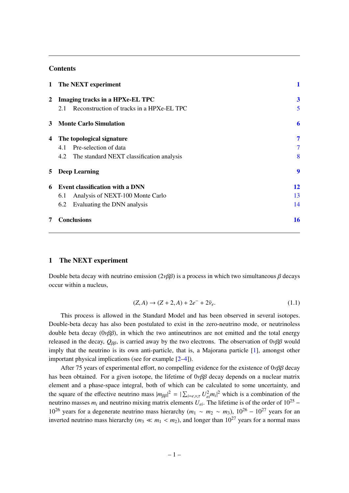### Contents

|              | 1 The NEXT experiment                            |                  |
|--------------|--------------------------------------------------|------------------|
| <sup>2</sup> | Imaging tracks in a HPXe-EL TPC                  | $\boldsymbol{3}$ |
|              | Reconstruction of tracks in a HPXe-EL TPC<br>2.1 | 5                |
| 3            | <b>Monte Carlo Simulation</b>                    | 6                |
| 4            | The topological signature                        | 7                |
|              | Pre-selection of data<br>4.1                     | 7                |
|              | 4.2 The standard NEXT classification analysis    | 8                |
| 5            | <b>Deep Learning</b>                             | 9                |
| 6            | <b>Event classification with a DNN</b>           | 12               |
|              | Analysis of NEXT-100 Monte Carlo<br>6.1          | 13               |
|              | Evaluating the DNN analysis<br>6.2               | 14               |
| 7            | <b>Conclusions</b>                               | 16               |

## <span id="page-2-0"></span>1 The NEXT experiment

Double beta decay with neutrino emission ( $2\nu\beta\beta$ ) is a process in which two simultaneous  $\beta$  decays occur within a nucleus,

$$
(Z, A) \to (Z + 2, A) + 2e^- + 2\bar{\nu}_e.
$$
 (1.1)

This process is allowed in the Standard Model and has been observed in several isotopes. Double-beta decay has also been postulated to exist in the zero-neutrino mode, or neutrinoless double beta decay ( $0\nu\beta\beta$ ), in which the two antineutrinos are not emitted and the total energy released in the decay,  $Q_{\beta\beta}$ , is carried away by the two electrons. The observation of  $0\nu\beta\beta$  would imply that the neutrino is its own anti-particle, that is, a Majorana particle [\[1\]](#page-18-0), amongst other important physical implications (see for example [\[2–](#page-18-1)[4\]](#page-18-2)).

After 75 years of experimental effort, no compelling evidence for the existence of  $0\nu\beta\beta$  decay has been obtained. For a given isotope, the lifetime of  $0\nu\beta\beta$  decay depends on a nuclear matrix element and a phase-space integral, both of which can be calculated to some uncertainty, and the square of the effective neutrino mass  $|m_{\beta\beta}|^2 = |\sum_{i=e,v,\tau} U_{ei}^2 m_i|^2$  which is a combination of the proteins are not proteined in the proteins of the proteins of 10<sup>25</sup> neutrino masses  $m_i$  and neutrino mixing matrix elements  $U_{ei}$ . The lifetime is of the order of 10<sup>25</sup> − 10<sup>26</sup> years for a degenerate neutrino mass hierarchy ( $m_1 \sim m_2 \sim m_3$ ), 10<sup>26</sup> – 10<sup>27</sup> years for an inverted neutrino mass hierarchy ( $m_3 \ll m_1 < m_2$ ), and longer than 10<sup>27</sup> years for a normal mass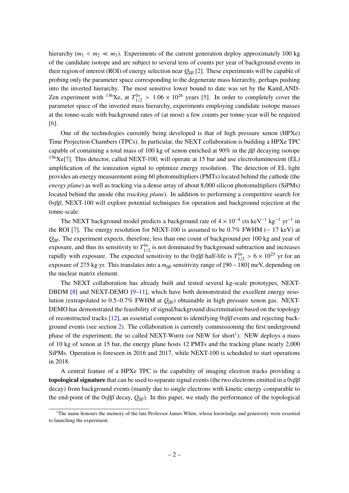hierarchy ( $m_1 < m_2 \ll m_3$ ). Experiments of the current generation deploy approximately 100 kg of the candidate isotope and are subject to several tens of counts per year of background events in their region of interest (ROI) of energy selection near *<sup>Q</sup>*ββ [\[2\]](#page-18-1). These experiments will be capable of probing only the parameter space corresponding to the degenerate mass hierarchy, perhaps pushing into the inverted hierarchy. The most sensitive lower bound to date was set by the KamLAND-Zen experiment with <sup>136</sup>Xe, at  $T_{1/2}^{0\nu} > 1.06 \times 10^{26}$  years [\[5\]](#page-18-3). In order to completely cover the parameter space of the inverted mass hierarchy, experiments employing candidate isotope masses at the tonne-scale with background rates of (at most) a few counts per tonne-year will be required [\[6\]](#page-19-0).

One of the technologies currently being developed is that of high pressure xenon (HPXe) Time Projection Chambers (TPCs). In particular, the NEXT collaboration is building a HPXe TPC capable of containing a total mass of 100 kg of xenon enriched at 90% in the  $\beta\beta$  decaying isotope  $136$ Xe[\[7\]](#page-19-1). This detector, called NEXT-100, will operate at 15 bar and use electroluminescent (EL) amplification of the ionization signal to optimize energy resolution. The detection of EL light provides an energy measurement using 60 photomultipliers (PMTs) located behind the cathode (the *energy plane*) as well as tracking via a dense array of about 8,000 silicon photomultipliers (SiPMs) located behind the anode (the *tracking plane*). In addition to performing a competitive search for  $0\nu\beta\beta$ , NEXT-100 will explore potential techniques for operation and background rejection at the tonne-scale.

The NEXT background model predicts a background rate of  $4 \times 10^{-4}$  cts keV<sup>-1</sup> kg<sup>-1</sup> yr<sup>-1</sup> in the ROI [\[7\]](#page-19-1). The energy resolution for NEXT-100 is assumed to be 0.7% FWHM (∼ 17 keV) at *<sup>Q</sup>*ββ. The experiment expects, therefore, less than one count of background per 100 kg and year of exposure, and thus its sensitivity to  $T_{1/2}^{0\nu}$  is not dominated by background subtraction and increases  $\frac{1}{2}$ rapidly with exposure. The expected sensitivity to the  $0\nu\beta\beta$  half-life is  $T_{1/2}^{0\nu} > 6 \times 10^{25}$  yr for an expected  $\beta$  and  $\beta$  and  $\beta$  and  $\beta$  and  $\beta$  and  $\beta$  and  $\beta$  and  $\beta$  and  $\beta$  and  $\beta$  and  $\beta$  and  $\frac{1}{2}$ exposure of 275 kg·yr. This translates into a *m<sub>ββ</sub>* sensitivity range of [90 − 180] meV, depending on the nuclear matrix element.

The NEXT collaboration has already built and tested several kg-scale prototypes, NEXT-DBDM  $[8]$  and NEXT-DEMO  $[9-11]$  $[9-11]$ , which have both demonstrated the excellent energy resolution (extrapolated to 0.5–0.7% FWHM at *Q<sub>ββ</sub>*) obtainable in high pressure xenon gas. NEXT-DEMO has demonstrated the feasibility of signal/background discrimination based on the topology of reconstructed tracks [\[12\]](#page-19-5), an essential component to identifying  $0\nu\beta\beta$  events and rejecting background events (see section [2\)](#page-4-0). The collaboration is currently commissioning the first underground phase of the experiment, the so called NEXT-WHITE (or NEW for short<sup>[1](#page-3-0)</sup>). NEW deploys a mass of 10 kg of xenon at 15 bar, the energy plane hosts 12 PMTs and the tracking plane nearly 2,000 SiPMs. Operation is foreseen in 2016 and 2017, while NEXT-100 is scheduled to start operations in 2018.

A central feature of a HPXe TPC is the capability of imaging electron tracks providing a **topological signature** that can be used to separate signal events (the two electrons emitted in a  $0\nu\beta\beta$ decay) from background events (mainly due to single electrons with kinetic energy comparable to the end-point of the  $0\nu\beta\beta$  decay,  $Q_{\beta\beta}$ ). In this paper, we study the performance of the topological

<span id="page-3-0"></span><sup>&</sup>lt;sup>1</sup>The name honours the memory of the late Professor James White, whose knowledge and generosity were essential to launching the experiment.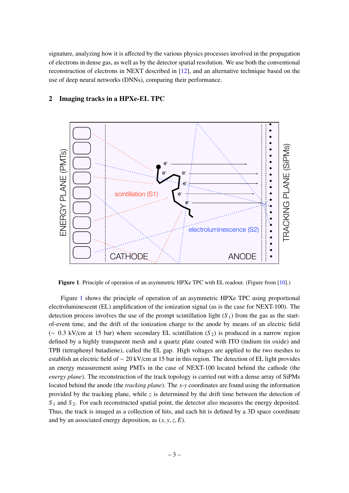signature, analyzing how it is affected by the various physics processes involved in the propagation of electrons in dense gas, as well as by the detector spatial resolution. We use both the conventional reconstruction of electrons in NEXT described in [\[12\]](#page-19-5), and an alternative technique based on the use of deep neural networks (DNNs), comparing their performance.



## <span id="page-4-0"></span>2 Imaging tracks in a HPXe-EL TPC

<span id="page-4-1"></span>Figure 1. Principle of operation of an asymmetric HPXe TPC with EL readout. (Figure from [\[10\]](#page-19-6).)

Figure [1](#page-4-1) shows the principle of operation of an asymmetric HPXe TPC using proportional electroluminescent (EL) amplification of the ionization signal (as is the case for NEXT-100). The detection process involves the use of the prompt scintillation light  $(S_1)$  from the gas as the startof-event time, and the drift of the ionization charge to the anode by means of an electric field (<sup>∼</sup> <sup>0</sup>.3 kV/cm at 15 bar) where secondary EL scintillation (*<sup>S</sup>* <sup>2</sup>) is produced in a narrow region defined by a highly transparent mesh and a quartz plate coated with ITO (indium tin oxide) and TPB (tetraphenyl butadiene), called the EL gap. High voltages are applied to the two meshes to establish an electric field of ∼ 20 kV/cm at 15 bar in this region. The detection of EL light provides an energy measurement using PMTs in the case of NEXT-100 located behind the cathode (the *energy plane*). The reconstruction of the track topology is carried out with a dense array of SiPMs located behind the anode (the *tracking plane*). The *x*-*y* coordinates are found using the information provided by the tracking plane, while *z* is determined by the drift time between the detection of  $S_1$  and  $S_2$ . For each reconstructed spatial point, the detector also measures the energy deposited. Thus, the track is imaged as a collection of hits, and each hit is defined by a 3D space coordinate and by an associated energy deposition, as (*x*, *<sup>y</sup>*,*z*, *<sup>E</sup>*).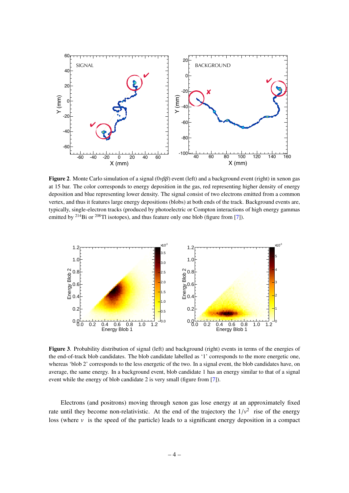

<span id="page-5-0"></span>Figure 2. Monte Carlo simulation of a signal  $(0\nu\beta\beta)$  event (left) and a background event (right) in xenon gas at 15 bar. The color corresponds to energy deposition in the gas, red representing higher density of energy deposition and blue representing lower density. The signal consist of two electrons emitted from a common vertex, and thus it features large energy depositions (blobs) at both ends of the track. Background events are, typically, single-electron tracks (produced by photoelectric or Compton interactions of high energy gammas emitted by  $2^{14}$ Bi or  $2^{08}$ Tl isotopes), and thus feature only one blob (figure from [\[7\]](#page-19-1)).



<span id="page-5-1"></span>Figure 3. Probability distribution of signal (left) and background (right) events in terms of the energies of the end-of-track blob candidates. The blob candidate labelled as '1' corresponds to the more energetic one, whereas 'blob 2' corresponds to the less energetic of the two. In a signal event, the blob candidates have, on average, the same energy. In a background event, blob candidate 1 has an energy similar to that of a signal event while the energy of blob candidate 2 is very small (figure from [\[7\]](#page-19-1)).

Electrons (and positrons) moving through xenon gas lose energy at an approximately fixed rate until they become non-relativistic. At the end of the trajectory the  $1/v^2$  rise of the energy loss (where  $v_1$  is the energy of the energy loss (where  $v_1$  is the energy of the energy loss (where  $v_1$  is the ener loss (where  $\nu$  is the speed of the particle) leads to a significant energy deposition in a compact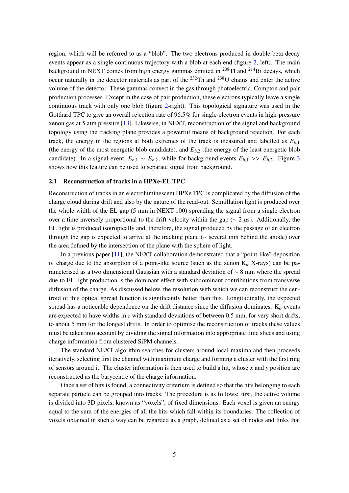region, which will be referred to as a "blob". The two electrons produced in double beta decay events appear as a single continuous trajectory with a blob at each end (figure [2,](#page-5-0) left). The main background in NEXT comes from high energy gammas emitted in  $^{208}$ Tl and  $^{214}$ Bi decays, which occur naturally in the detector materials as part of the <sup>232</sup>Th and <sup>238</sup>U chains and enter the active volume of the detector. These gammas convert in the gas through photoelectric, Compton and pair production processes. Except in the case of pair production, these electrons typically leave a single continuous track with only one blob (figure [2-](#page-5-0)right). This topological signature was used in the Gotthard TPC to give an overall rejection rate of 96.5% for single-electron events in high-pressure xenon gas at 5 atm pressure [\[13\]](#page-19-7). Likewise, in NEXT, reconstruction of the signal and background topology using the tracking plane provides a powerful means of background rejection. For each track, the energy in the regions at both extremes of the track is measured and labelled as *<sup>E</sup>b*,<sup>1</sup> (the energy of the most energetic blob candidate), and  $E_{b,2}$  (the energy of the least energetic blob candidate). In a signal event,  $E_{b,1} \sim E_{b,2}$ , while for background events  $E_{b,1} \gg E_{b,2}$ . Figure [3](#page-5-1) shows how this feature can be used to separate signal from background.

#### <span id="page-6-0"></span>2.1 Reconstruction of tracks in a HPXe-EL TPC

Reconstruction of tracks in an electroluminescent HPXe TPC is complicated by the diffusion of the charge cloud during drift and also by the nature of the read-out. Scintillation light is produced over the whole width of the EL gap (5 mm in NEXT-100) spreading the signal from a single electron over a time inversely proportional to the drift velocity within the gap ( $\sim$  2 µs). Additionally, the EL light is produced isotropically and, therefore, the signal produced by the passage of an electron through the gap is expected to arrive at the tracking plane (∼ several mm behind the anode) over the area defined by the intersection of the plane with the sphere of light.

In a previous paper [\[11\]](#page-19-4), the NEXT collaboration demonstrated that a "point-like" deposition of charge due to the absorption of a point-like source (such as the xenon  $K_{\alpha}$  X-rays) can be parameterised as a two dimensional Gaussian with a standard deviation of ∼ 8 mm where the spread due to EL light production is the dominant effect with subdominant contributions from transverse diffusion of the charge. As discussed below, the resolution with which we can reconstruct the centroid of this optical spread function is significantly better than this. Longitudinally, the expected spread has a noticeable dependence on the drift distance since the diffusion dominates.  $K_{\alpha}$  events are expected to have widths in *z* with standard deviations of between 0.5 mm, for very short drifts, to about 5 mm for the longest drifts. In order to optimise the reconstruction of tracks these values must be taken into account by dividing the signal information into appropriate time slices and using charge information from clustered SiPM channels.

The standard NEXT algorithm searches for clusters around local maxima and then proceeds iteratively, selecting first the channel with maximum charge and forming a cluster with the first ring of sensors around it. The cluster information is then used to build a hit, whose *x* and *y* position are reconstructed as the barycentre of the charge information.

Once a set of hits is found, a connectivity criterium is defined so that the hits belonging to each separate particle can be grouped into tracks. The procedure is as follows: first, the active volume is divided into 3D pixels, known as "voxels", of fixed dimensions. Each voxel is given an energy equal to the sum of the energies of all the hits which fall within its boundaries. The collection of voxels obtained in such a way can be regarded as a graph, defined as a set of nodes and links that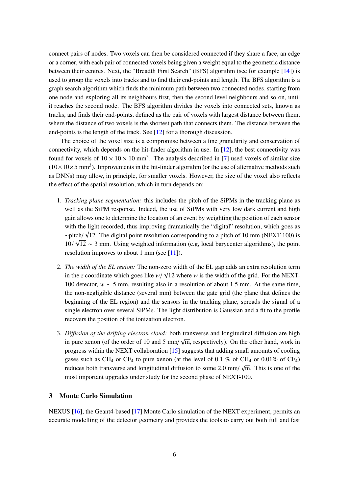connect pairs of nodes. Two voxels can then be considered connected if they share a face, an edge or a corner, with each pair of connected voxels being given a weight equal to the geometric distance between their centres. Next, the "Breadth First Search" (BFS) algorithm (see for example [\[14\]](#page-19-8)) is used to group the voxels into tracks and to find their end-points and length. The BFS algorithm is a graph search algorithm which finds the minimum path between two connected nodes, starting from one node and exploring all its neighbours first, then the second level neighbours and so on, until it reaches the second node. The BFS algorithm divides the voxels into connected sets, known as tracks, and finds their end-points, defined as the pair of voxels with largest distance between them, where the distance of two voxels is the shortest path that connects them. The distance between the end-points is the length of the track. See [\[12\]](#page-19-5) for a thorough discussion.

The choice of the voxel size is a compromise between a fine granularity and conservation of connectivity, which depends on the hit-finder algorithm in use. In [\[12\]](#page-19-5), the best connectivity was found for voxels of  $10 \times 10 \times 10$  mm<sup>3</sup>. The analysis described in [\[7\]](#page-19-1) used voxels of similar size  $(10 \times 10 \times 5 \text{ mm}^3)$ . Improvements in the hit-finder algorithm (or the use of alternative methods such as DNNs) may allow, in principle, for smaller voxels. However, the size of the voxel also reflects the effect of the spatial resolution, which in turn depends on:

- 1. *Tracking plane segmentation:* this includes the pitch of the SiPMs in the tracking plane as well as the SiPM response. Indeed, the use of SiPMs with very low dark current and high gain allows one to determine the location of an event by weighting the position of each sensor with the light recorded, thus improving dramatically the "digital" resolution, which goes as ∼pitch/ 12. The digital point resolution corresponding to a pitch of 10 mm (NEXT-100) is √  $10/\sqrt{12} \sim 3$  mm. Using weighted information (e.g, local barycenter algorithms), the point recelution improves to show 1 mm (see [111]). resolution improves to about 1 mm (see [\[11\]](#page-19-4)).
- 2. *The width of the EL region:* The non-zero width of the EL gap adds an extra resolution term in the *z* coordinate which goes like  $w/\sqrt{12}$  where *w* is the width of the grid. For the NEXT-<br>100 detector  $w = 5$  mm, moulting also in a mostlying of about 1.5 mm. At the same time 100 detector, *w* ∼ 5 mm, resulting also in a resolution of about 1.5 mm. At the same time, the non-negligible distance (several mm) between the gate grid (the plane that defines the beginning of the EL region) and the sensors in the tracking plane, spreads the signal of a single electron over several SiPMs. The light distribution is Gaussian and a fit to the profile recovers the position of the ionization electron.
- 3. *Di*ff*usion of the drifting electron cloud:* both transverse and longitudinal diffusion are high √ in pure xenon (of the order of 10 and 5 mm/ $\sqrt{m}$ , respectively). On the other hand, work in progress within the NEXT collaboration [\[15\]](#page-19-9) suggests that adding small amounts of cooling gases such as CH<sub>4</sub> or CF<sub>4</sub> to pure xenon (at the level of 0.1 % of CH<sub>4</sub> or 0.01% of CF<sub>4</sub>) reduces both transverse and longitudinal diffusion to some 2.0 mm/<br>meet important upgrades under study for the second phase of NEVT √ m. This is one of the most important upgrades under study for the second phase of NEXT-100.

## <span id="page-7-0"></span>3 Monte Carlo Simulation

NEXUS [\[16\]](#page-19-10), the Geant4-based [\[17\]](#page-19-11) Monte Carlo simulation of the NEXT experiment, permits an accurate modelling of the detector geometry and provides the tools to carry out both full and fast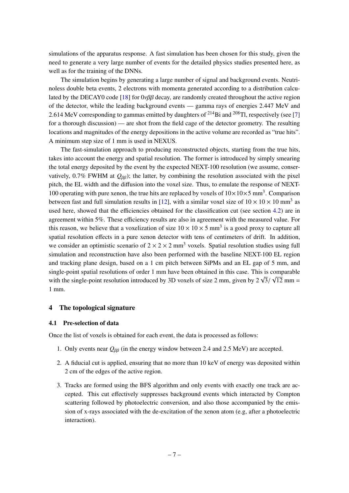simulations of the apparatus response. A fast simulation has been chosen for this study, given the need to generate a very large number of events for the detailed physics studies presented here, as well as for the training of the DNNs.

The simulation begins by generating a large number of signal and background events. Neutrinoless double beta events, 2 electrons with momenta generated according to a distribution calcu-lated by the DECAY0 code [\[18\]](#page-19-12) for  $0\nu\beta\beta$  decay, are randomly created throughout the active region of the detector, while the leading background events — gamma rays of energies 2.447 MeV and 2.614 MeV corresponding to gammas emitted by daughters of  $^{214}$ Bi and  $^{208}$ Tl, respectively (see [\[7\]](#page-19-1) for a thorough discussion) — are shot from the field cage of the detector geometry. The resulting locations and magnitudes of the energy depositions in the active volume are recorded as "true hits". A minimum step size of 1 mm is used in NEXUS.

The fast-simulation approach to producing reconstructed objects, starting from the true hits, takes into account the energy and spatial resolution. The former is introduced by simply smearing the total energy deposited by the event by the expected NEXT-100 resolution (we assume, conservatively,  $0.7\%$  FWHM at  $Q_{\beta\beta}$ ); the latter, by combining the resolution associated with the pixel pitch, the EL width and the diffusion into the voxel size. Thus, to emulate the response of NEXT-100 operating with pure xenon, the true hits are replaced by voxels of  $10 \times 10 \times 5$  mm<sup>3</sup>. Comparison between fast and full simulation results in [\[12\]](#page-19-5), with a similar voxel size of  $10 \times 10 \times 10$  mm<sup>3</sup> as used here, showed that the efficiencies obtained for the classification cut (see section [4.2\)](#page-9-0) are in agreement within 5%. These efficiency results are also in agreement with the measured value. For this reason, we believe that a voxelization of size  $10 \times 10 \times 5$  mm<sup>3</sup> is a good proxy to capture all spatial resolution effects in a pure xenon detector with tens of centimeters of drift. In addition, we consider an optimistic scenario of  $2 \times 2 \times 2$  mm<sup>3</sup> voxels. Spatial resolution studies using full simulation and reconstruction have also been performed with the baseline NEXT-100 EL region and tracking plane design, based on a 1 cm pitch between SiPMs and an EL gap of 5 mm, and single-point spatial resolutions of order 1 mm have been obtained in this case. This is comparable single-point spatial resolutions of order 1 mm have been obtained in this case. This with the single-point resolution introduced by 3D voxels of size 2 mm, given by  $2\sqrt{ }$  $3/\sqrt{12}$  mm = 1 mm.

## <span id="page-8-0"></span>4 The topological signature

#### <span id="page-8-1"></span>4.1 Pre-selection of data

Once the list of voxels is obtained for each event, the data is processed as follows:

- 1. Only events near *<sup>Q</sup>*ββ (in the energy window between 2.4 and 2.5 MeV) are accepted.
- 2. A fiducial cut is applied, ensuring that no more than 10 keV of energy was deposited within 2 cm of the edges of the active region.
- 3. Tracks are formed using the BFS algorithm and only events with exactly one track are accepted. This cut effectively suppresses background events which interacted by Compton scattering followed by photoelectric conversion, and also those accompanied by the emission of x-rays associated with the de-excitation of the xenon atom (e.g, after a photoelectric interaction).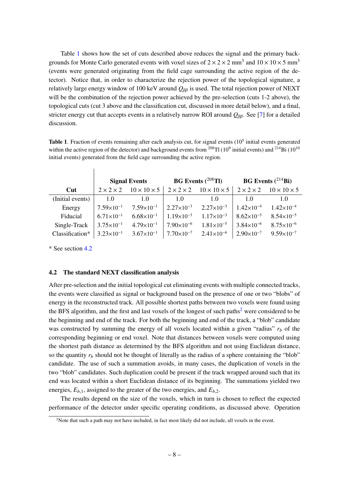Table [1](#page-9-1) shows how the set of cuts described above reduces the signal and the primary backgrounds for Monte Carlo generated events with voxel sizes of  $2 \times 2 \times 2$  mm<sup>3</sup> and  $10 \times 10 \times 5$  mm<sup>3</sup> (events were generated originating from the field cage surrounding the active region of the detector). Notice that, in order to characterize the rejection power of the topological signature, a relatively large energy window of 100 keV around *<sup>Q</sup>*ββ is used. The total rejection power of NEXT will be the combination of the rejection power achieved by the pre-selection (cuts 1-2 above), the topological cuts (cut 3 above and the classification cut, discussed in more detail below), and a final, stricter energy cut that accepts events in a relatively narrow ROI around *<sup>Q</sup>*ββ. See [\[7\]](#page-19-1) for a detailed discussion.

<span id="page-9-1"></span>Table 1. Fraction of events remaining after each analysis cut, for signal events  $(10<sup>5</sup>$  initial events generated within the active region of the detector) and background events from  $^{208}$ Tl (10<sup>9</sup> initial events) and  $^{214}$ Bi (10<sup>10</sup>) initial events) generated from the field cage surrounding the active region.

|                  | <b>Signal Events</b>  |                         | <b>BG</b> Events $(^{208}$ Tl)          |                                                                                             | <b>BG</b> Events $(^{214}Bi)$   |                       |
|------------------|-----------------------|-------------------------|-----------------------------------------|---------------------------------------------------------------------------------------------|---------------------------------|-----------------------|
| $\bf{Cut}$       | $2 \times 2 \times 2$ | $10 \times 10 \times 5$ |                                         | $2 \times 2 \times 2$ $10 \times 10 \times 5$ $2 \times 2 \times 2$ $10 \times 10 \times 5$ |                                 |                       |
| (Initial events) | 1.0                   | $\overline{1.0}$        | 1.0                                     | 1.0                                                                                         | 1.0                             | 1.0                   |
| Energy           | $7.59\times10^{-1}$   |                         |                                         | $7.59\times10^{-1}$ 2.27 $\times10^{-3}$ 2.27 $\times10^{-3}$                               | $1.42\times10^{-4}$             | $1.42\times10^{-4}$   |
| Fiducial         | $6.71 \times 10^{-1}$ | $6.68 \times 10^{-1}$   | $1.19\times10^{-3}$ $1.17\times10^{-3}$ |                                                                                             | $8.62\times10^{-5}$             | $8.54 \times 10^{-5}$ |
| Single-Track     | $3.75 \times 10^{-1}$ | $4.79 \times 10^{-1}$   |                                         | $7.90\times10^{-6}$ $1.81\times10^{-5}$                                                     | $\frac{1}{3.84 \times 10^{-6}}$ | $8.75 \times 10^{-6}$ |
| Classification*  | $3.23 \times 10^{-1}$ |                         |                                         | $3.67 \times 10^{-1}$   $7.70 \times 10^{-7}$ $2.41 \times 10^{-6}$                         | $2.90\times10^{-7}$             | $9.59 \times 10^{-7}$ |

\* See section [4.2](#page-9-0)

 $\overline{1}$ 

#### <span id="page-9-0"></span>4.2 The standard NEXT classification analysis

After pre-selection and the initial topological cut eliminating events with multiple connected tracks, the events were classified as signal or background based on the presence of one or two "blobs" of energy in the reconstructed track. All possible shortest paths between two voxels were found using the BFS algorithm, and the first and last voxels of the longest of such paths<sup>[2](#page-9-2)</sup> were considered to be the beginning and end of the track. For both the beginning and end of the track, a "blob" candidate was constructed by summing the energy of all voxels located within a given "radius"  $r_b$  of the corresponding beginning or end voxel. Note that distances between voxels were computed using the shortest path distance as determined by the BFS algorithm and not using Euclidean distance, so the quantity  $r_b$  should not be thought of literally as the radius of a sphere containing the "blob" candidate. The use of such a summation avoids, in many cases, the duplication of voxels in the two "blob" candidates. Such duplication could be present if the track wrapped around such that its end was located within a short Euclidean distance of its beginning. The summations yielded two energies,  $E_{b,1}$ , assigned to the greater of the two energies, and  $E_{b,2}$ .

The results depend on the size of the voxels, which in turn is chosen to reflect the expected performance of the detector under specific operating conditions, as discussed above. Operation

<span id="page-9-2"></span><sup>&</sup>lt;sup>2</sup>Note that such a path may not have included, in fact most likely did not include, all voxels in the event.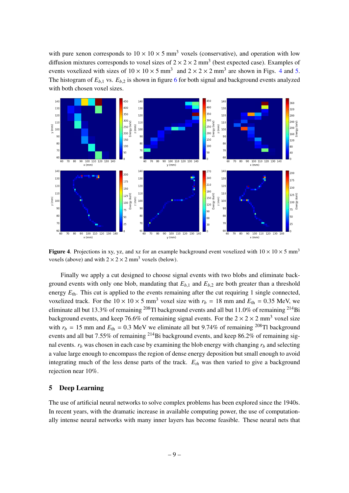with pure xenon corresponds to  $10 \times 10 \times 5$  mm<sup>3</sup> voxels (conservative), and operation with low diffusion mixtures corresponds to voxel sizes of  $2 \times 2 \times 2$  mm<sup>3</sup> (best expected case). Examples of events voxelized with sizes of  $10 \times 10 \times 5$  mm<sup>3</sup> and  $2 \times 2 \times 2$  mm<sup>3</sup> are shown in Figs. [4](#page-10-1) and [5.](#page-11-0) The histogram of  $E_{b,1}$  vs.  $E_{b,2}$  is shown in figure [6](#page-12-0) for both signal and background events analyzed with both chosen voxel sizes.



<span id="page-10-1"></span>Figure 4. Projections in xy, yz, and xz for an example background event voxelized with  $10 \times 10 \times 5$  mm<sup>3</sup> voxels (above) and with  $2 \times 2 \times 2$  mm<sup>3</sup> voxels (below).

Finally we apply a cut designed to choose signal events with two blobs and eliminate background events with only one blob, mandating that  $E_{b,1}$  and  $E_{b,2}$  are both greater than a threshold energy  $E_{\text{th}}$ . This cut is applied to the events remaining after the cut requiring 1 single connected, voxelized track. For the  $10 \times 10 \times 5$  mm<sup>3</sup> voxel size with  $r_b = 18$  mm and  $E_{th} = 0.35$  MeV, we eliminate all but 13.3% of remaining  $^{208}$ Tl background events and all but 11.0% of remaining  $^{214}$ Bi background events, and keep 76.6% of remaining signal events. For the  $2 \times 2 \times 2$  mm<sup>3</sup> voxel size with  $r_b = 15$  mm and  $E_{th} = 0.3$  MeV we eliminate all but 9.74% of remaining <sup>208</sup>Tl background events and all but 7.55% of remaining  $^{214}$ Bi background events, and keep 86.2% of remaining signal events.  $r_b$  was chosen in each case by examining the blob energy with changing  $r_b$  and selecting a value large enough to encompass the region of dense energy deposition but small enough to avoid integrating much of the less dense parts of the track. *Eth* was then varied to give a background rejection near 10%.

## <span id="page-10-0"></span>5 Deep Learning

The use of artificial neural networks to solve complex problems has been explored since the 1940s. In recent years, with the dramatic increase in available computing power, the use of computationally intense neural networks with many inner layers has become feasible. These neural nets that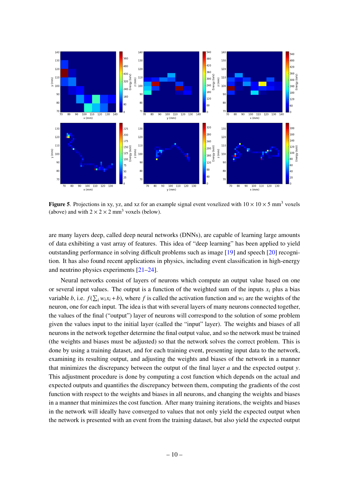

<span id="page-11-0"></span>**Figure 5.** Projections in xy, yz, and xz for an example signal event voxelized with  $10 \times 10 \times 5$  mm<sup>3</sup> voxels (above) and with  $2 \times 2 \times 2$  mm<sup>3</sup> voxels (below).

are many layers deep, called deep neural networks (DNNs), are capable of learning large amounts of data exhibiting a vast array of features. This idea of "deep learning" has been applied to yield outstanding performance in solving difficult problems such as image [\[19\]](#page-19-13) and speech [\[20\]](#page-19-14) recognition. It has also found recent applications in physics, including event classification in high-energy and neutrino physics experiments [\[21–](#page-19-15)[24\]](#page-19-16).

Neural networks consist of layers of neurons which compute an output value based on one or several input values. The output is a function of the weighted sum of the inputs  $x_i$  plus a bias variable *b*, i.e.  $f(\sum_i w_i x_i + b)$ , where *f* is called the activation function and  $w_i$  are the weights of the neuron, one for each input. The idea is that with several layers of many neurons connected together, the values of the final ("output") layer of neurons will correspond to the solution of some problem given the values input to the initial layer (called the "input" layer). The weights and biases of all neurons in the network together determine the final output value, and so the network must be trained (the weights and biases must be adjusted) so that the network solves the correct problem. This is done by using a training dataset, and for each training event, presenting input data to the network, examining its resulting output, and adjusting the weights and biases of the network in a manner that minimizes the discrepancy between the output of the final layer *a* and the expected output *y*. This adjustment procedure is done by computing a cost function which depends on the actual and expected outputs and quantifies the discrepancy between them, computing the gradients of the cost function with respect to the weights and biases in all neurons, and changing the weights and biases in a manner that minimizes the cost function. After many training iterations, the weights and biases in the network will ideally have converged to values that not only yield the expected output when the network is presented with an event from the training dataset, but also yield the expected output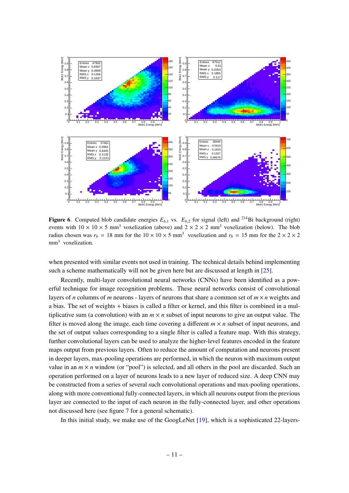

<span id="page-12-0"></span>Figure 6. Computed blob candidate energies  $E_{b,1}$  vs.  $E_{b,2}$  for signal (left) and <sup>214</sup>Bi background (right) events with  $10 \times 10 \times 5$  mm<sup>3</sup> voxelization (above) and  $2 \times 2 \times 2$  mm<sup>3</sup> voxelization (below). The blob radius chosen was  $r_b = 18$  mm for the  $10 \times 10 \times 5$  mm<sup>3</sup> voxelization and  $r_b = 15$  mm for the  $2 \times 2 \times 2$ mm<sup>3</sup> voxelization.

when presented with similar events not used in training. The technical details behind implementing such a scheme mathematically will not be given here but are discussed at length in [\[25\]](#page-20-0).

Recently, multi-layer convolutional neural networks (CNNs) have been identified as a powerful technique for image recognition problems. These neural networks consist of convolutional layers of *n* columns of *m* neurons - layers of neurons that share a common set of  $m \times n$  weights and a bias. The set of weights + biases is called a filter or kernel, and this filter is combined in a multiplicative sum (a convolution) with an  $m \times n$  subset of input neurons to give an output value. The filter is moved along the image, each time covering a different  $m \times n$  subset of input neurons, and the set of output values corresponding to a single filter is called a feature map. With this strategy, further convolutional layers can be used to analyze the higher-level features encoded in the feature maps output from previous layers. Often to reduce the amount of computation and neurons present in deeper layers, max-pooling operations are performed, in which the neuron with maximum output value in an  $m \times n$  window (or "pool") is selected, and all others in the pool are discarded. Such an operation performed on a layer of neurons leads to a new layer of reduced size. A deep CNN may be constructed from a series of several such convolutional operations and max-pooling operations, along with more conventional fully-connected layers, in which all neurons output from the previous layer are connected to the input of each neuron in the fully-connected layer, and other operations not discussed here (see figure [7](#page-13-1) for a general schematic).

In this initial study, we make use of the GoogLeNet [\[19\]](#page-19-13), which is a sophisticated 22-layers-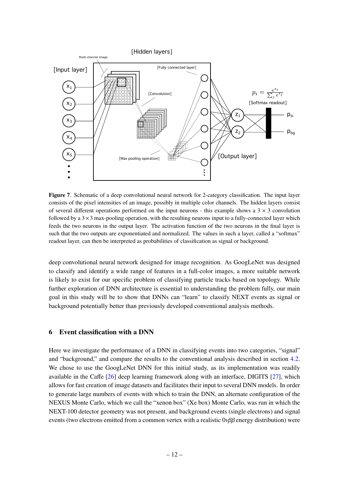

<span id="page-13-1"></span>Figure 7. Schematic of a deep convolutional neural network for 2-category classification. The input layer consists of the pixel intensities of an image, possibly in multiple color channels. The hidden layers consist of several different operations performed on the input neurons - this example shows a  $3 \times 3$  convolution followed by a  $3\times3$  max-pooling operation, with the resulting neurons input to a fully-connected layer which feeds the two neurons in the output layer. The activation function of the two neurons in the final layer is such that the two outputs are exponentiated and normalized. The values in such a layer, called a "softmax" readout layer, can then be interpreted as probabilities of classification as signal or background.

deep convolutional neural network designed for image recognition. As GoogLeNet was designed to classify and identify a wide range of features in a full-color images, a more suitable network is likely to exist for our specific problem of classifying particle tracks based on topology. While further exploration of DNN architecture is essential to understanding the problem fully, our main goal in this study will be to show that DNNs can "learn" to classify NEXT events as signal or background potentially better than previously developed conventional analysis methods.

## <span id="page-13-0"></span>6 Event classification with a DNN

Here we investigate the performance of a DNN in classifying events into two categories, "signal" and "background," and compare the results to the conventional analysis described in section [4.2.](#page-9-0) We chose to use the GoogLeNet DNN for this initial study, as its implementation was readily available in the Caffe [\[26\]](#page-20-1) deep learning framework along with an interface, DIGITS [\[27\]](#page-20-2), which allows for fast creation of image datasets and facilitates their input to several DNN models. In order to generate large numbers of events with which to train the DNN, an alternate configuration of the NEXUS Monte Carlo, which we call the "xenon box" (Xe box) Monte Carlo, was run in which the NEXT-100 detector geometry was not present, and background events (single electrons) and signal events (two electrons emitted from a common vertex with a realistic  $0\nu\beta\beta$  energy distribution) were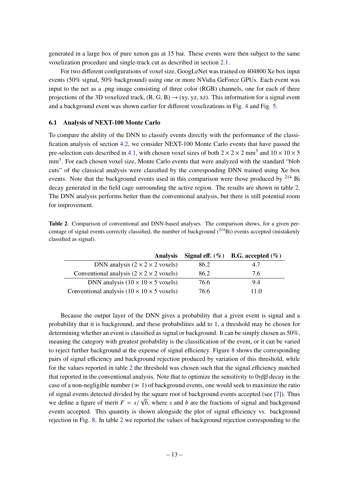generated in a large box of pure xenon gas at 15 bar. These events were then subject to the same voxelization procedure and single-track cut as described in section [2.1.](#page-6-0)

For two different configurations of voxel size, GoogLeNet was trained on 404800 Xe box input events (50% signal, 50% background) using one or more NVidia GeForce GPUs. Each event was input to the net as a .png image consisting of three color (RGB) channels, one for each of three projections of the 3D voxelized track,  $(R, G, B) \rightarrow (xy, yz, xz)$ . This information for a signal event and a background event was shown earlier for different voxelizations in Fig. [4](#page-10-1) and Fig. [5.](#page-11-0)

#### <span id="page-14-0"></span>6.1 Analysis of NEXT-100 Monte Carlo

To compare the ability of the DNN to classify events directly with the performance of the classification analysis of section [4.2,](#page-9-0) we consider NEXT-100 Monte Carlo events that have passed the pre-selection cuts described in [4.1,](#page-8-1) with chosen voxel sizes of both  $2 \times 2 \times 2$  mm<sup>3</sup> and  $10 \times 10 \times 5$ mm<sup>3</sup>. For each chosen voxel size, Monte Carlo events that were analyzed with the standard "blob cuts" of the classical analysis were classified by the corresponding DNN trained using Xe box events. Note that the background events used in this comparison were those produced by  $^{214}$  Bi decay generated in the field cage surrounding the active region. The results are shown in table [2.](#page-14-1) The DNN analysis performs better than the conventional analysis, but there is still potential room for improvement.

<span id="page-14-1"></span>Table 2. Comparison of conventional and DNN-based analyses. The comparison shows, for a given percentage of signal events correctly classified, the number of background  $(^{214}Bi)$  events accepted (mistakenly classified as signal).

| <b>Analysis</b>                                        |      | Signal eff. $(\%)$ B.G. accepted $(\%)$ |
|--------------------------------------------------------|------|-----------------------------------------|
| DNN analysis $(2 \times 2 \times 2$ voxels)            | 86.2 | 4.7                                     |
| Conventional analysis $(2 \times 2 \times 2$ voxels)   | 86.2 | 76                                      |
| DNN analysis $(10 \times 10 \times 5$ voxels)          | 76.6 | 9.4                                     |
| Conventional analysis $(10 \times 10 \times 5$ voxels) | 76.6 | 11 0                                    |

Because the output layer of the DNN gives a probability that a given event is signal and a probability that it is background, and these probabilities add to 1, a threshold may be chosen for determining whether an event is classified as signal or background. It can be simply chosen as 50%, meaning the category with greatest probability is the classification of the event, or it can be varied to reject further background at the expense of signal efficiency. Figure [8](#page-15-1) shows the corresponding pairs of signal efficiency and background rejection produced by variation of this threshold, while for the values reported in table [2](#page-14-1) the threshold was chosen such that the signal efficiency matched that reported in the conventional analysis. Note that to optimize the sensitivity to  $0\nu\beta\beta$  decay in the case of a non-negligible number  $(\gg 1)$  of background events, one would seek to maximize the ratio of signal events detected divided by the square root of background events accepted (see [\[7\]](#page-19-1)). Thus we define a figure of merit  $F = s/\sqrt{b}$ , where *s* and *b* are the fractions of signal and background<br>execute accepted. This questity is above alongside the plot of signal efficiency *ys*, hackground events accepted. This quantity is shown alongside the plot of signal efficiency vs. background rejection in Fig. [8.](#page-15-1) In table [2](#page-14-1) we reported the values of background rejection corresponding to the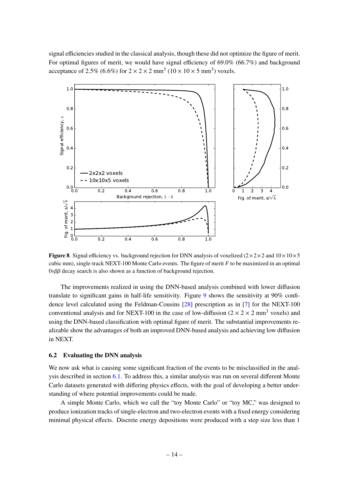signal efficiencies studied in the classical analysis, though these did not optimize the figure of merit. For optimal figures of merit, we would have signal efficiency of 69.0% (66.7%) and background acceptance of 2.5% (6.6%) for  $2 \times 2 \times 2$  mm<sup>3</sup> (10  $\times$  10  $\times$  5 mm<sup>3</sup>) voxels.



<span id="page-15-1"></span>**Figure 8.** Signal efficiency vs. background rejection for DNN analysis of voxelized  $(2\times2\times2$  and  $10\times10\times5$ cubic mm), single-track NEXT-100 Monte Carlo events. The figure of merit *F* to be maximized in an optimal  $0\nu\beta\beta$  decay search is also shown as a function of background rejection.

The improvements realized in using the DNN-based analysis combined with lower diffusion translate to significant gains in half-life sensitivity. Figure [9](#page-16-0) shows the sensitivity at 90% confidence level calculated using the Feldman-Cousins [\[28\]](#page-20-3) prescription as in [\[7\]](#page-19-1) for the NEXT-100 conventional analysis and for NEXT-100 in the case of low-diffusion  $(2 \times 2 \times 2 \text{ mm}^3$  voxels) and using the DNN-based classification with optimal figure of merit. The substantial improvements realizable show the advantages of both an improved DNN-based analysis and achieving low diffusion in NEXT.

## <span id="page-15-0"></span>6.2 Evaluating the DNN analysis

We now ask what is causing some significant fraction of the events to be misclassified in the analysis described in section [6.1.](#page-14-0) To address this, a similar analysis was run on several different Monte Carlo datasets generated with differing physics effects, with the goal of developing a better understanding of where potential improvements could be made.

A simple Monte Carlo, which we call the "toy Monte Carlo" or "toy MC," was designed to produce ionization tracks of single-electron and two-electron events with a fixed energy considering minimal physical effects. Discrete energy depositions were produced with a step size less than 1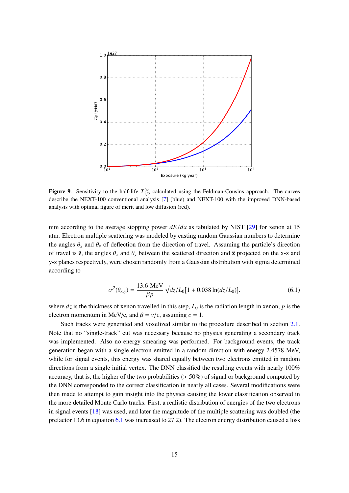

<span id="page-16-0"></span>**Figure 9.** Sensitivity to the half-life  $T_{1/2}^{0\nu}$  calculated using the Feldman-Cousins approach. The curves describe the NEXT-100 conventional analysis  $[7]$  (blue) and NEXT-100 with the improved DNN-based analysis with optimal figure of merit and low diffusion (red).

mm according to the average stopping power  $dE/dx$  as tabulated by NIST [\[29\]](#page-20-4) for xenon at 15 atm. Electron multiple scattering was modeled by casting random Gaussian numbers to determine the angles  $\theta_x$  and  $\theta_y$  of deflection from the direction of travel. Assuming the particle's direction of travel is  $\hat{z}$ , the angles  $\theta_x$  and  $\theta_y$  between the scattered direction and  $\hat{z}$  projected on the x-z and y-z planes respectively, were chosen randomly from a Gaussian distribution with sigma determined according to

<span id="page-16-1"></span>
$$
\sigma^2(\theta_{x,y}) = \frac{13.6 \text{ MeV}}{\beta p} \sqrt{dz/L_0} [1 + 0.038 \ln(dz/L_0)]. \tag{6.1}
$$

where  $dz$  is the thickness of xenon travelled in this step,  $L_0$  is the radiation length in xenon,  $p$  is the electron momentum in MeV/*c*, and  $\beta = v/c$ , assuming  $c = 1$ .

Such tracks were generated and voxelized similar to the procedure described in section [2.1.](#page-6-0) Note that no "single-track" cut was necessary because no physics generating a secondary track was implemented. Also no energy smearing was performed. For background events, the track generation began with a single electron emitted in a random direction with energy 2.4578 MeV, while for signal events, this energy was shared equally between two electrons emitted in random directions from a single initial vertex. The DNN classified the resulting events with nearly 100% accuracy, that is, the higher of the two probabilities ( $> 50\%$ ) of signal or background computed by the DNN corresponded to the correct classification in nearly all cases. Several modifications were then made to attempt to gain insight into the physics causing the lower classification observed in the more detailed Monte Carlo tracks. First, a realistic distribution of energies of the two electrons in signal events [\[18\]](#page-19-12) was used, and later the magnitude of the multiple scattering was doubled (the prefactor 13.6 in equation [6.1](#page-16-1) was increased to 27.2). The electron energy distribution caused a loss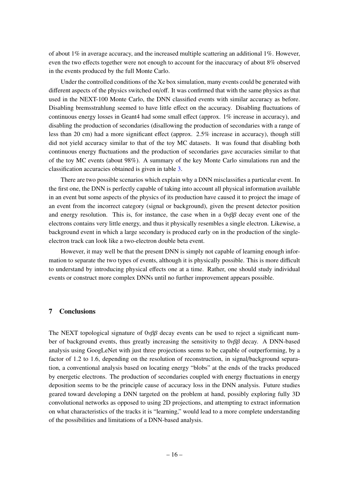of about 1% in average accuracy, and the increased multiple scattering an additional  $1\%$ . However, even the two effects together were not enough to account for the inaccuracy of about 8% observed in the events produced by the full Monte Carlo.

Under the controlled conditions of the Xe box simulation, many events could be generated with different aspects of the physics switched on/off. It was confirmed that with the same physics as that used in the NEXT-100 Monte Carlo, the DNN classified events with similar accuracy as before. Disabling bremsstrahlung seemed to have little effect on the accuracy. Disabling fluctuations of continuous energy losses in Geant4 had some small effect (approx. 1% increase in accuracy), and disabling the production of secondaries (disallowing the production of secondaries with a range of less than 20 cm) had a more significant effect (approx. 2.5% increase in accuracy), though still did not yield accuracy similar to that of the toy MC datasets. It was found that disabling both continuous energy fluctuations and the production of secondaries gave accuracies similar to that of the toy MC events (about 98%). A summary of the key Monte Carlo simulations run and the classification accuracies obtained is given in table [3.](#page-18-4)

There are two possible scenarios which explain why a DNN misclassifies a particular event. In the first one, the DNN is perfectly capable of taking into account all physical information available in an event but some aspects of the physics of its production have caused it to project the image of an event from the incorrect category (signal or background), given the present detector position and energy resolution. This is, for instance, the case when in a  $0\nu\beta\beta$  decay event one of the electrons contains very little energy, and thus it physically resembles a single electron. Likewise, a background event in which a large secondary is produced early on in the production of the singleelectron track can look like a two-electron double beta event.

However, it may well be that the present DNN is simply not capable of learning enough information to separate the two types of events, although it is physically possible. This is more difficult to understand by introducing physical effects one at a time. Rather, one should study individual events or construct more complex DNNs until no further improvement appears possible.

## <span id="page-17-0"></span>7 Conclusions

The NEXT topological signature of  $0\nu\beta\beta$  decay events can be used to reject a significant number of background events, thus greatly increasing the sensitivity to  $0\nu\beta\beta$  decay. A DNN-based analysis using GoogLeNet with just three projections seems to be capable of outperforming, by a factor of 1.2 to 1.6, depending on the resolution of reconstruction, in signal/background separation, a conventional analysis based on locating energy "blobs" at the ends of the tracks produced by energetic electrons. The production of secondaries coupled with energy fluctuations in energy deposition seems to be the principle cause of accuracy loss in the DNN analysis. Future studies geared toward developing a DNN targeted on the problem at hand, possibly exploring fully 3D convolutional networks as opposed to using 2D projections, and attempting to extract information on what characteristics of the tracks it is "learning," would lead to a more complete understanding of the possibilities and limitations of a DNN-based analysis.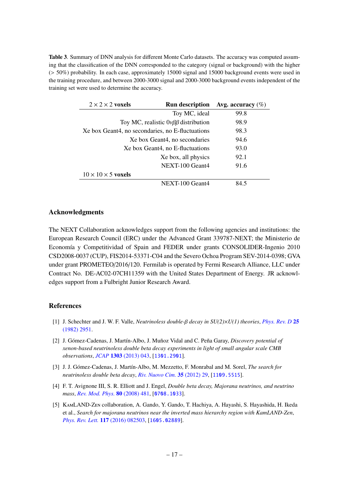<span id="page-18-4"></span>Table 3. Summary of DNN analysis for different Monte Carlo datasets. The accuracy was computed assuming that the classification of the DNN corresponded to the category (signal or background) with the higher (> 50%) probability. In each case, approximately 15000 signal and 15000 background events were used in the training procedure, and between 2000-3000 signal and 2000-3000 background events independent of the training set were used to determine the accuracy.

| $2 \times 2 \times 2$ voxels                     | <b>Run description</b>                          | Avg. accuracy $(\%)$ |
|--------------------------------------------------|-------------------------------------------------|----------------------|
|                                                  | Toy MC, ideal                                   | 99.8                 |
|                                                  | Toy MC, realistic $0\nu\beta\beta$ distribution | 98.9                 |
| Xe box Geant4, no secondaries, no E-fluctuations |                                                 | 98.3                 |
| Xe box Geant4, no secondaries                    |                                                 | 94.6                 |
|                                                  | Xe box Geant4, no E-fluctuations                | 93.0                 |
|                                                  | Xe box, all physics                             | 92.1                 |
|                                                  | NEXT-100 Geant4                                 | 91.6                 |
| $10 \times 10 \times 5$ voxels                   |                                                 |                      |
|                                                  | NEXT-100 Geant4                                 | 84 5                 |

## Acknowledgments

The NEXT Collaboration acknowledges support from the following agencies and institutions: the European Research Council (ERC) under the Advanced Grant 339787-NEXT; the Ministerio de Economía y Competitividad of Spain and FEDER under grants CONSOLIDER-Ingenio 2010 CSD2008-0037 (CUP), FIS2014-53371-C04 and the Severo Ochoa Program SEV-2014-0398; GVA under grant PROMETEO/2016/120. Fermilab is operated by Fermi Research Alliance, LLC under Contract No. DE-AC02-07CH11359 with the United States Department of Energy. JR acknowledges support from a Fulbright Junior Research Award.

### References

- <span id="page-18-0"></span>[1] J. Schechter and J. W. F. Valle, *Neutrinoless double-*β *decay in SU(2)*×*U(1) theories*, *[Phys. Rev. D](http://dx.doi.org/10.1103/PhysRevD.25.2951)* <sup>25</sup> [\(1982\) 2951.](http://dx.doi.org/10.1103/PhysRevD.25.2951)
- <span id="page-18-1"></span>[2] J. Gómez-Cadenas, J. Martín-Albo, J. Muñoz Vidal and C. Peña Garay, *Discovery potential of xenon-based neutrinoless double beta decay experiments in light of small angular scale CMB observations*, *JCAP* 1303 [\(2013\) 043,](http://dx.doi.org/10.1088/1475-7516/2013/03/043) [[1301.2901](http://arxiv.org/abs/1301.2901)].
- [3] J. J. Gómez-Cadenas, J. Martín-Albo, M. Mezzetto, F. Monrabal and M. Sorel, *The search for neutrinoless double beta decay*, *[Riv. Nuovo Cim.](http://dx.doi.org/10.1393/ncr/i2012-10074-9)* 35 (2012) 29, [[1109.5515](http://arxiv.org/abs/1109.5515)].
- <span id="page-18-2"></span>[4] F. T. Avignone III, S. R. Elliott and J. Engel, *Double beta decay, Majorana neutrinos, and neutrino mass*, *[Rev. Mod. Phys.](http://dx.doi.org/10.1103/RevModPhys.80.481)* 80 (2008) 481, [[0708.1033](http://arxiv.org/abs/0708.1033)].
- <span id="page-18-3"></span>[5] KamLAND-Zen collaboration, A. Gando, Y. Gando, T. Hachiya, A. Hayashi, S. Hayashida, H. Ikeda et al., *Search for majorana neutrinos near the inverted mass hierarchy region with KamLAND-Zen*, *[Phys. Rev. Lett.](http://dx.doi.org/10.1103/PhysRevLett.117.082503)* 117 (2016) 082503, [[1605.02889](http://arxiv.org/abs/1605.02889)].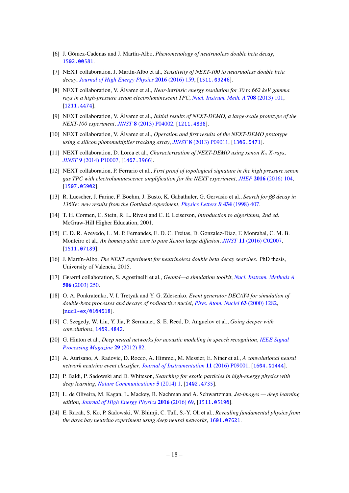- <span id="page-19-0"></span>[6] J. Gómez-Cadenas and J. Martín-Albo, *Phenomenology of neutrinoless double beta decay*, [1502.00581](http://arxiv.org/abs/1502.00581).
- <span id="page-19-1"></span>[7] NEXT collaboration, J. Martín-Albo et al., *Sensitivity of NEXT-100 to neutrinoless double beta decay*, *[Journal of High Energy Physics](http://dx.doi.org/10.1007/JHEP05(2016)159)* 2016 (2016) 159, [[1511.09246](http://arxiv.org/abs/1511.09246)].
- <span id="page-19-2"></span>[8] NEXT collaboration, V. Álvarez et al., *Near-intrinsic energy resolution for 30 to 662 keV gamma rays in a high-pressure xenon electroluminescent TPC*, *[Nucl. Instrum. Meth. A](http://dx.doi.org/10.1016/j.nima.2012.12.123)* 708 (2013) 101, [[1211.4474](http://arxiv.org/abs/1211.4474)].
- <span id="page-19-3"></span>[9] NEXT collaboration, V. Álvarez et al., *Initial results of NEXT-DEMO, a large-scale prototype of the NEXT-100 experiment*, *JINST* 8 [\(2013\) P04002,](http://dx.doi.org/10.1088/1748-0221/8/04/P04002) [[1211.4838](http://arxiv.org/abs/1211.4838)].
- <span id="page-19-6"></span>[10] NEXT collaboration, V. Álvarez et al., *Operation and first results of the NEXT-DEMO prototype using a silicon photomultiplier tracking array*, *JINST* 8 [\(2013\) P09011,](http://dx.doi.org/10.1088/1748-0221/8/09/P09011) [[1306.0471](http://arxiv.org/abs/1306.0471)].
- <span id="page-19-4"></span>[11] NEXT collaboration, D. Lorca et al., *Characterisation of NEXT-DEMO using xenon K*α *X-rays*, *JINST* 9 [\(2014\) P10007,](http://dx.doi.org/10.1088/1748-0221/9/10/P10007) [[1407.3966](http://arxiv.org/abs/1407.3966)].
- <span id="page-19-5"></span>[12] NEXT collaboration, P. Ferrario et al., *First proof of topological signature in the high pressure xenon gas TPC with electroluminescence amplification for the NEXT experiment*, *JHEP* 2016 [\(2016\) 104,](http://dx.doi.org/10.1007/JHEP01(2016)104) [[1507.05902](http://arxiv.org/abs/1507.05902)].
- <span id="page-19-7"></span>[13] R. Luescher, J. Farine, F. Boehm, J. Busto, K. Gabathuler, G. Gervasio et al., *Search for* ββ *decay in 136Xe: new results from the Gotthard experiment*, *[Physics Letters B](http://dx.doi.org/10.1016/S0370-2693(98)00906-X)* 434 (1998) 407.
- <span id="page-19-8"></span>[14] T. H. Cormen, C. Stein, R. L. Rivest and C. E. Leiserson, *Introduction to algorithms, 2nd ed.* McGraw-Hill Higher Education, 2001.
- <span id="page-19-9"></span>[15] C. D. R. Azevedo, L. M. P. Fernandes, E. D. C. Freitas, D. Gonzalez-Diaz, F. Monrabal, C. M. B. Monteiro et al., *An homeopathic cure to pure Xenon large di*ff*usion*, *JINST* 11 [\(2016\) C02007,](http://dx.doi.org/10.1088/1748-0221/11/02/C02007) [[1511.07189](http://arxiv.org/abs/1511.07189)].
- <span id="page-19-10"></span>[16] J. Martín-Albo, *The NEXT experiment for neutrinoless double beta decay searches*. PhD thesis, University of Valencia, 2015.
- <span id="page-19-11"></span>[17] Geant4 collaboration, S. Agostinelli et al., *Geant4—a simulation toolkit*, *[Nucl. Instrum. Methods A](http://dx.doi.org/10.1016/S0168-9002(03)01368-8)* 506 [\(2003\) 250.](http://dx.doi.org/10.1016/S0168-9002(03)01368-8)
- <span id="page-19-12"></span>[18] O. A. Ponkratenko, V. I. Tretyak and Y. G. Zdesenko, *Event generator DECAY4 for simulation of double-beta processes and decays of radioactive nuclei*, *[Phys. Atom. Nuclei](http://dx.doi.org/10.1134/1.855784)* 63 (2000) 1282, [[nucl-ex/0104018](http://arxiv.org/abs/nucl-ex/0104018)].
- <span id="page-19-13"></span>[19] C. Szegedy, W. Liu, Y. Jia, P. Sermanet, S. E. Reed, D. Anguelov et al., *Going deeper with convolutions*, [1409.4842](http://arxiv.org/abs/1409.4842).
- <span id="page-19-14"></span>[20] G. Hinton et al., *Deep neural networks for acoustic modeling in speech recognition*, *[IEEE Signal](http://dx.doi.org/10.1109/MSP.2012.2205597) [Processing Magazine](http://dx.doi.org/10.1109/MSP.2012.2205597)* 29 (2012) 82.
- <span id="page-19-15"></span>[21] A. Aurisano, A. Radovic, D. Rocco, A. Himmel, M. Messier, E. Niner et al., *A convolutional neural network neutrino event classifier*, *[Journal of Instrumentation](http://dx.doi.org/10.1088/1748-0221/11/09/P09001)* 11 (2016) P09001, [[1604.01444](http://arxiv.org/abs/1604.01444)].
- [22] P. Baldi, P. Sadowski and D. Whiteson, *Searching for exotic particles in high-energy physics with deep learning*, *[Nature Communications](http://dx.doi.org/10.1038/ncomms5308)* 5 (2014) 1, [[1402.4735](http://arxiv.org/abs/1402.4735)].
- [23] L. de Oliveira, M. Kagan, L. Mackey, B. Nachman and A. Schwartzman, *Jet-images deep learning edition*, *[Journal of High Energy Physics](http://dx.doi.org/10.1007/JHEP07(2016)069)* 2016 (2016) 69, [[1511.05190](http://arxiv.org/abs/1511.05190)].
- <span id="page-19-16"></span>[24] E. Racah, S. Ko, P. Sadowski, W. Bhimji, C. Tull, S.-Y. Oh et al., *Revealing fundamental physics from the daya bay neutrino experiment using deep neural networks*, [1601.07621](http://arxiv.org/abs/1601.07621).